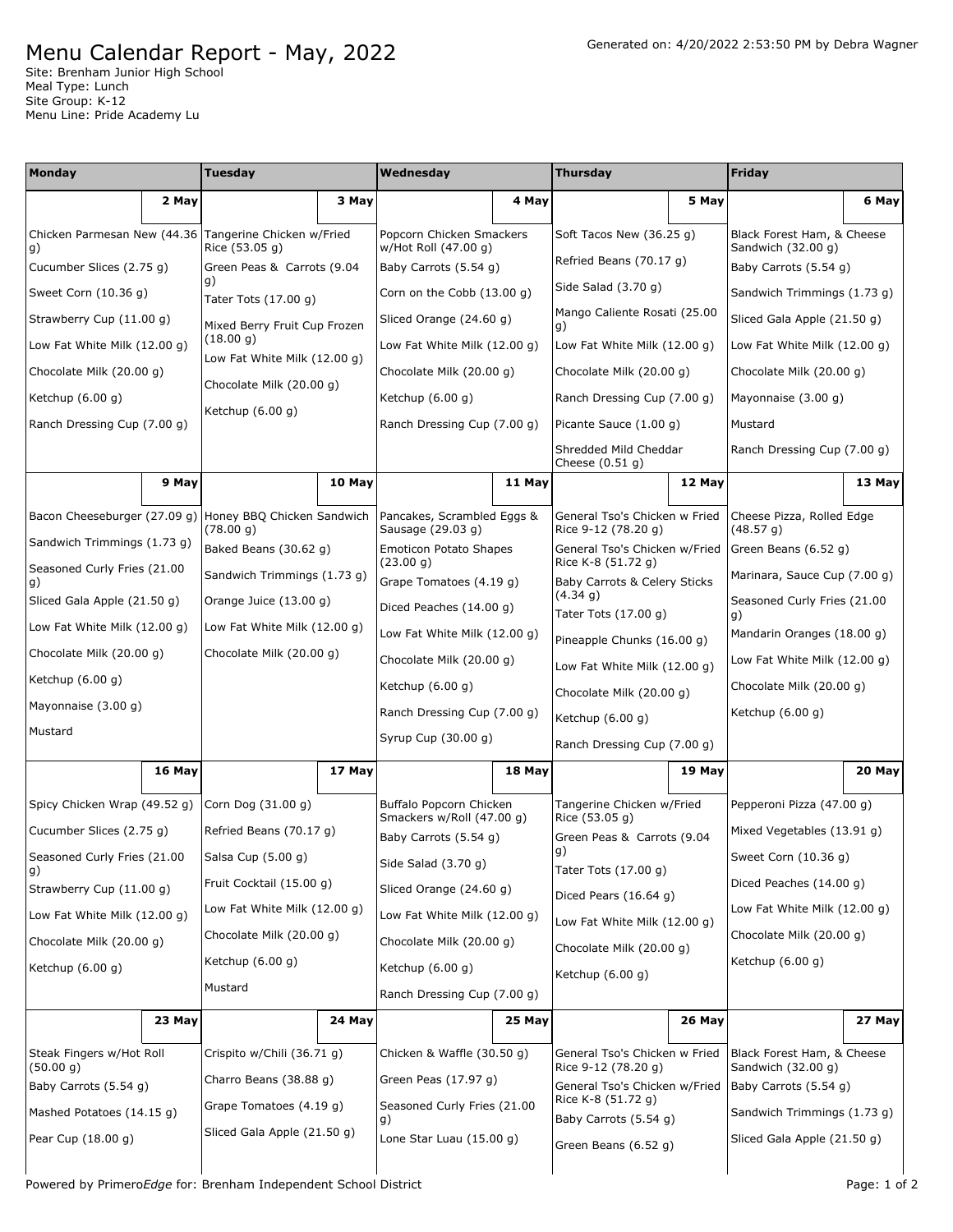## Menu Calendar Report - May, 2022

Site: Brenham Junior High School Meal Type: Lunch Site Group: K-12 Menu Line: Pride Academy Lu

| <b>Monday</b>                         |                              | <b>Tuesday</b>                                                        |                    | Wednesday                                          |                                                      | <b>Thursday</b>                                      |                                             | Friday                                           |                            |  |
|---------------------------------------|------------------------------|-----------------------------------------------------------------------|--------------------|----------------------------------------------------|------------------------------------------------------|------------------------------------------------------|---------------------------------------------|--------------------------------------------------|----------------------------|--|
|                                       | 2 May                        |                                                                       | 3 May              |                                                    | 4 May                                                |                                                      | 5 May                                       |                                                  | 6 May                      |  |
| Chicken Parmesan New (44.36<br>g)     |                              | Tangerine Chicken w/Fried<br>Rice (53.05 g)                           |                    | Popcorn Chicken Smackers<br>w/Hot Roll (47.00 g)   |                                                      | Soft Tacos New (36.25 g)                             |                                             | Black Forest Ham, & Cheese<br>Sandwich (32.00 g) |                            |  |
| Cucumber Slices (2.75 g)              |                              | Green Peas & Carrots (9.04                                            |                    | Baby Carrots (5.54 g)                              |                                                      | Refried Beans (70.17 g)                              |                                             | Baby Carrots (5.54 g)                            |                            |  |
| Sweet Corn (10.36 g)                  |                              | g)<br>Tater Tots (17.00 g)                                            |                    | Corn on the Cobb (13.00 g)                         |                                                      | Side Salad (3.70 g)                                  |                                             | Sandwich Trimmings (1.73 g)                      |                            |  |
| Strawberry Cup (11.00 g)              |                              | Mixed Berry Fruit Cup Frozen                                          |                    | Sliced Orange (24.60 g)                            |                                                      | Mango Caliente Rosati (25.00<br>g)                   |                                             | Sliced Gala Apple (21.50 g)                      |                            |  |
| Low Fat White Milk (12.00 g)          |                              | (18.00 g)<br>Low Fat White Milk (12.00 g)<br>Chocolate Milk (20.00 q) |                    | Low Fat White Milk (12.00 g)                       |                                                      | Low Fat White Milk (12.00 g)                         |                                             | Low Fat White Milk (12.00 g)                     |                            |  |
| Chocolate Milk (20.00 q)              |                              |                                                                       |                    | Chocolate Milk (20.00 g)                           |                                                      | Chocolate Milk (20.00 g)                             |                                             | Chocolate Milk (20.00 g)                         |                            |  |
| Ketchup $(6.00 g)$                    |                              |                                                                       |                    | Ketchup $(6.00 g)$                                 |                                                      | Ranch Dressing Cup (7.00 g)                          |                                             | Mayonnaise (3.00 g)                              |                            |  |
| Ranch Dressing Cup (7.00 g)           |                              | Ketchup $(6.00 g)$                                                    |                    | Ranch Dressing Cup (7.00 g)                        |                                                      | Picante Sauce (1.00 g)                               |                                             | Mustard                                          |                            |  |
|                                       |                              |                                                                       |                    |                                                    |                                                      | Shredded Mild Cheddar<br>Cheese $(0.51 g)$           |                                             | Ranch Dressing Cup (7.00 g)                      |                            |  |
|                                       | 9 May                        |                                                                       | 10 May             |                                                    | 11 May                                               |                                                      | 12 May                                      |                                                  | 13 May                     |  |
| Bacon Cheeseburger (27.09 g)          |                              | Honey BBQ Chicken Sandwich                                            |                    | Pancakes, Scrambled Eggs &                         |                                                      | General Tso's Chicken w Fried                        |                                             | Cheese Pizza, Rolled Edge                        |                            |  |
| Sandwich Trimmings (1.73 g)           |                              | (78.00 g)<br>Baked Beans (30.62 g)                                    |                    | Sausage (29.03 g)<br><b>Emoticon Potato Shapes</b> |                                                      | Rice 9-12 (78.20 g)<br>General Tso's Chicken w/Fried |                                             | (48.57 g)<br>Green Beans (6.52 g)                |                            |  |
| Seasoned Curly Fries (21.00           |                              | Sandwich Trimmings (1.73 g)                                           |                    | (23.00 g)<br>Grape Tomatoes (4.19 q)               |                                                      | Rice K-8 (51.72 g)                                   |                                             | Marinara, Sauce Cup (7.00 g)                     |                            |  |
| g)<br>Sliced Gala Apple (21.50 g)     |                              | Orange Juice (13.00 g)                                                |                    | Diced Peaches (14.00 g)                            |                                                      | Baby Carrots & Celery Sticks<br>(4.34 g)             |                                             | Seasoned Curly Fries (21.00                      |                            |  |
| Low Fat White Milk (12.00 g)          |                              | Low Fat White Milk (12.00 g)                                          |                    | Low Fat White Milk (12.00 g)                       |                                                      | Tater Tots (17.00 g)<br>g)                           |                                             |                                                  | Mandarin Oranges (18.00 g) |  |
| Chocolate Milk (20.00 g)              |                              | Chocolate Milk (20.00 g)                                              |                    | Chocolate Milk (20.00 g)                           |                                                      | Pineapple Chunks (16.00 g)                           |                                             | Low Fat White Milk (12.00 g)                     |                            |  |
| Ketchup $(6.00 g)$                    |                              |                                                                       |                    | Ketchup (6.00 g)                                   |                                                      | Low Fat White Milk (12.00 g)                         |                                             | Chocolate Milk (20.00 g)                         |                            |  |
| Mayonnaise (3.00 g)                   |                              |                                                                       |                    | Ranch Dressing Cup (7.00 g)                        |                                                      | Chocolate Milk (20.00 g)                             |                                             | Ketchup $(6.00 g)$                               |                            |  |
| Mustard                               |                              |                                                                       |                    | Syrup Cup (30.00 g)                                |                                                      | Ketchup $(6.00 g)$                                   |                                             |                                                  |                            |  |
| 16 May                                |                              | 17 May                                                                |                    | 18 May                                             |                                                      | Ranch Dressing Cup (7.00 g)                          |                                             | 20 May                                           |                            |  |
|                                       |                              |                                                                       |                    |                                                    |                                                      |                                                      | 19 May                                      |                                                  |                            |  |
|                                       | Spicy Chicken Wrap (49.52 g) |                                                                       | Corn Dog (31.00 g) |                                                    | Buffalo Popcorn Chicken<br>Smackers w/Roll (47.00 g) |                                                      | Tangerine Chicken w/Fried<br>Rice (53.05 g) |                                                  | Pepperoni Pizza (47.00 g)  |  |
| Cucumber Slices (2.75 g)              |                              | Refried Beans (70.17 g)                                               |                    | Baby Carrots (5.54 g)                              |                                                      | Green Peas & Carrots (9.04<br> g)                    |                                             | Mixed Vegetables (13.91 g)                       |                            |  |
| Seasoned Curly Fries (21.00<br>g)     |                              | Salsa Cup (5.00 g)                                                    |                    | Side Salad (3.70 g)                                |                                                      | Tater Tots (17.00 g)                                 |                                             | Sweet Corn (10.36 g)                             |                            |  |
| Strawberry Cup (11.00 g)              |                              | Fruit Cocktail (15.00 g)                                              |                    | Sliced Orange (24.60 g)                            |                                                      | Diced Pears $(16.64 g)$                              |                                             | Diced Peaches (14.00 g)                          |                            |  |
| Low Fat White Milk (12.00 q)          |                              | Low Fat White Milk (12.00 g)                                          |                    | Low Fat White Milk (12.00 g)                       |                                                      | Low Fat White Milk (12.00 g)                         |                                             | Low Fat White Milk (12.00 g)                     |                            |  |
| Chocolate Milk (20.00 g)              |                              | Chocolate Milk (20.00 g)                                              |                    | Chocolate Milk (20.00 g)                           |                                                      | Chocolate Milk (20.00 g)                             |                                             | Chocolate Milk (20.00 g)                         |                            |  |
| Ketchup (6.00 g)                      |                              | Ketchup (6.00 g)                                                      |                    | Ketchup (6.00 g)                                   |                                                      | Ketchup $(6.00 g)$                                   |                                             | Ketchup (6.00 g)                                 |                            |  |
|                                       |                              | Mustard                                                               |                    | Ranch Dressing Cup (7.00 g)                        |                                                      |                                                      |                                             |                                                  |                            |  |
|                                       | 23 May                       |                                                                       | 24 May             |                                                    | 25 May                                               |                                                      | 26 May                                      |                                                  | 27 May                     |  |
| Steak Fingers w/Hot Roll<br>(50.00 g) |                              | Crispito w/Chili (36.71 g)                                            |                    | Chicken & Waffle (30.50 g)                         |                                                      | General Tso's Chicken w Fried                        |                                             | Black Forest Ham, & Cheese<br>Sandwich (32.00 g) |                            |  |
| Baby Carrots (5.54 g)                 |                              | Charro Beans (38.88 g)                                                |                    | Green Peas (17.97 g)                               |                                                      | Rice 9-12 (78.20 g)<br>General Tso's Chicken w/Fried |                                             | Baby Carrots (5.54 g)                            |                            |  |
| Mashed Potatoes (14.15 g)             |                              | Grape Tomatoes (4.19 g)                                               |                    | Seasoned Curly Fries (21.00<br>g)                  |                                                      | Rice K-8 (51.72 g)<br>Baby Carrots (5.54 g)          |                                             | Sandwich Trimmings (1.73 g)                      |                            |  |
| Pear Cup (18.00 g)                    |                              | Sliced Gala Apple (21.50 g)                                           |                    | Lone Star Luau (15.00 g)                           |                                                      | Green Beans (6.52 g)                                 |                                             | Sliced Gala Apple (21.50 g)                      |                            |  |
|                                       |                              |                                                                       |                    |                                                    |                                                      |                                                      |                                             |                                                  |                            |  |